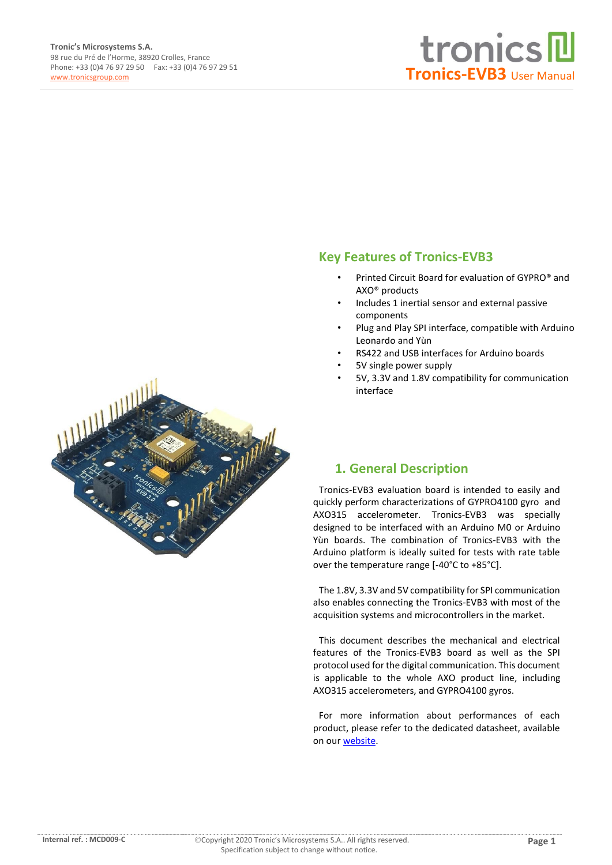

#### **Key Features of Tronics-EVB3**

- Printed Circuit Board for evaluation of GYPRO® and AXO® products
- Includes 1 inertial sensor and external passive components
- Plug and Play SPI interface, compatible with Arduino Leonardo and Yùn
- RS422 and USB interfaces for Arduino boards
- 5V single power supply
- 5V, 3.3V and 1.8V compatibility for communication interface



### **1. General Description**

Tronics-EVB3 evaluation board is intended to easily and quickly perform characterizations of GYPRO4100 gyro and AXO315 accelerometer. Tronics-EVB3 was specially designed to be interfaced with an Arduino M0 or Arduino Yùn boards. The combination of Tronics-EVB3 with the Arduino platform is ideally suited for tests with rate table over the temperature range [-40°C to +85°C].

The 1.8V, 3.3V and 5V compatibility for SPI communication also enables connecting the Tronics-EVB3 with most of the acquisition systems and microcontrollers in the market.

This document describes the mechanical and electrical features of the Tronics-EVB3 board as well as the SPI protocol used for the digital communication. This document is applicable to the whole AXO product line, including AXO315 accelerometers, and GYPRO4100 gyros.

For more information about performances of each product, please refer to the dedicated datasheet, available on our [website.](http://www-origin.tronicsgroup.com/High-Performance-MEMS-Inertial-Sensors)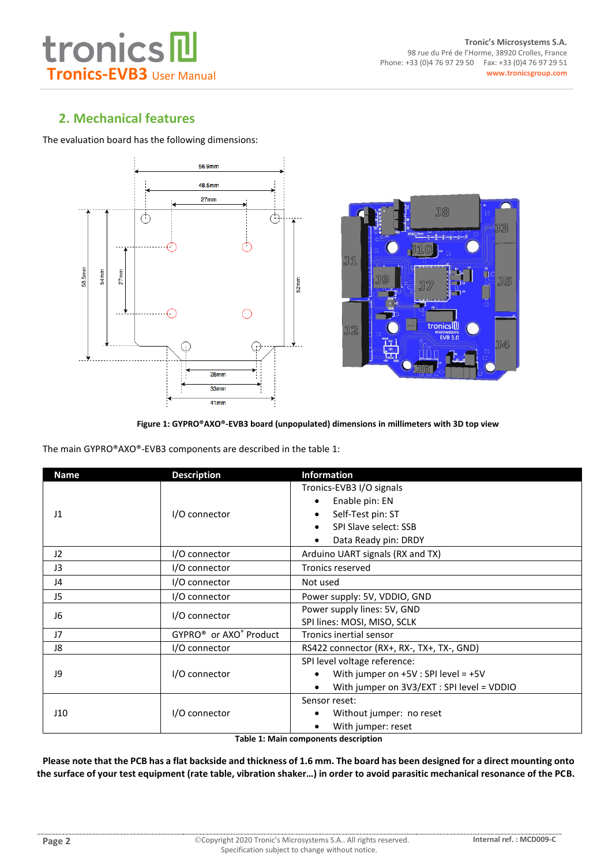### **2. Mechanical features**

The evaluation board has the following dimensions:







The main GYPRO®AXO®-EVB3 components are described in the table 1:

| <b>Name</b>     | <b>Description</b>                             | <b>Information</b>                         |  |  |  |
|-----------------|------------------------------------------------|--------------------------------------------|--|--|--|
|                 |                                                | Tronics-EVB3 I/O signals                   |  |  |  |
|                 |                                                | Enable pin: EN                             |  |  |  |
| $_{11}$         | I/O connector                                  | Self-Test pin: ST                          |  |  |  |
|                 |                                                | SPI Slave select: SSB                      |  |  |  |
|                 |                                                | Data Ready pin: DRDY                       |  |  |  |
| 12 <sup>2</sup> | I/O connector                                  | Arduino UART signals (RX and TX)           |  |  |  |
| J3              | I/O connector                                  | <b>Tronics reserved</b>                    |  |  |  |
| J4              | I/O connector                                  | Not used                                   |  |  |  |
| J5              | I/O connector                                  | Power supply: 5V, VDDIO, GND               |  |  |  |
| J6              | I/O connector                                  | Power supply lines: 5V, GND                |  |  |  |
|                 |                                                | SPI lines: MOSI, MISO, SCLK                |  |  |  |
| J7              | GYPRO <sup>®</sup> or AXO <sup>®</sup> Product | Tronics inertial sensor                    |  |  |  |
| J8              | I/O connector                                  | RS422 connector (RX+, RX-, TX+, TX-, GND)  |  |  |  |
|                 |                                                | SPI level voltage reference:               |  |  |  |
| J9              | I/O connector                                  | With jumper on $+5V$ : SPI level = $+5V$   |  |  |  |
|                 |                                                | With jumper on 3V3/EXT : SPI level = VDDIO |  |  |  |
|                 |                                                | Sensor reset:                              |  |  |  |
| J10             | I/O connector                                  | Without jumper: no reset                   |  |  |  |
|                 |                                                | With jumper: reset                         |  |  |  |

**Table 1: Main components description**

**Please note that the PCB has a flat backside and thickness of 1.6 mm. The board has been designed for a direct mounting onto the surface of your test equipment (rate table, vibration shaker…) in order to avoid parasitic mechanical resonance of the PCB.**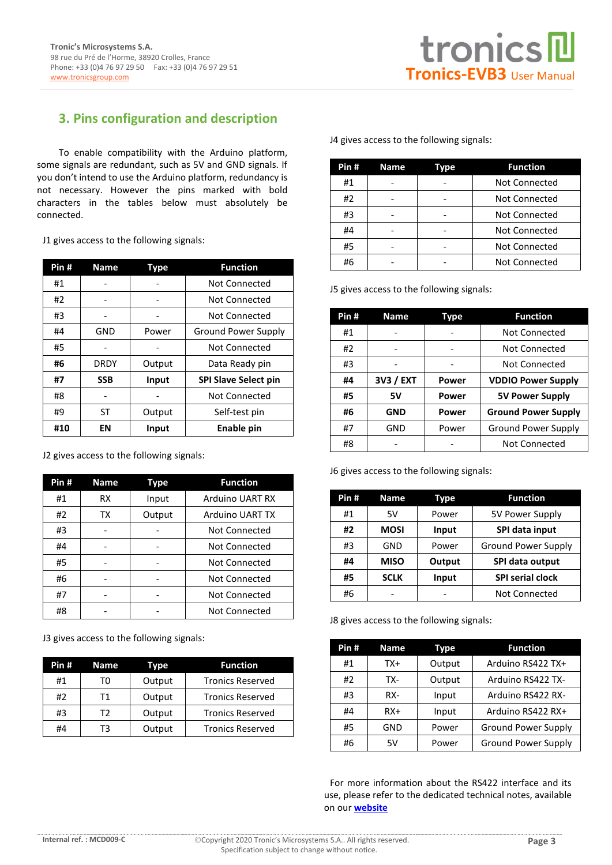### **3. Pins configuration and description**

To enable compatibility with the Arduino platform, some signals are redundant, such as 5V and GND signals. If you don't intend to use the Arduino platform, redundancy is not necessary. However the pins marked with bold characters in the tables below must absolutely be connected.

J1 gives access to the following signals:

| Pin# | <b>Name</b> | Type                     | <b>Function</b>             |
|------|-------------|--------------------------|-----------------------------|
| #1   |             |                          | <b>Not Connected</b>        |
| #2   |             |                          | Not Connected               |
| #3   |             |                          | Not Connected               |
| #4   | <b>GND</b>  | Power                    | <b>Ground Power Supply</b>  |
| #5   |             |                          | Not Connected               |
| #6   | <b>DRDY</b> | Data Ready pin<br>Output |                             |
| #7   | <b>SSB</b>  | Input                    | <b>SPI Slave Select pin</b> |
| #8   |             |                          | Not Connected               |
| #9   | ST          | Output                   | Self-test pin               |
| #10  | EN          | Input                    | Enable pin                  |

J2 gives access to the following signals:

| Pin# | <b>Name</b> | Type   | <b>Function</b>        |
|------|-------------|--------|------------------------|
| #1   | <b>RX</b>   | Input  | <b>Arduino UART RX</b> |
| #2   | тх          | Output | <b>Arduino UART TX</b> |
| #3   |             |        | Not Connected          |
| #4   |             |        | Not Connected          |
| #5   |             |        | Not Connected          |
| #6   |             |        | Not Connected          |
| #7   |             |        | Not Connected          |
| #8   |             |        | Not Connected          |

J3 gives access to the following signals:

| Pin# | Name | Type   | <b>Function</b>         |
|------|------|--------|-------------------------|
| #1   | TO.  | Output | <b>Tronics Reserved</b> |
| #2   | Τ1   | Output | <b>Tronics Reserved</b> |
| #3   | T2   | Output | <b>Tronics Reserved</b> |
| #4   | тз   | Output | <b>Tronics Reserved</b> |

J4 gives access to the following signals:

| Pin# | <b>Name</b> | Tvpe | <b>Function</b> |
|------|-------------|------|-----------------|
| #1   |             |      | Not Connected   |
| #2   |             |      | Not Connected   |
| #3   |             |      | Not Connected   |
| #4   |             |      | Not Connected   |
| #5   |             |      | Not Connected   |
| #6   |             |      | Not Connected   |

J5 gives access to the following signals:

| Pin# | <b>Name</b> | Type                            | <b>Function</b>            |
|------|-------------|---------------------------------|----------------------------|
| #1   |             |                                 | Not Connected              |
| #2   |             |                                 | Not Connected              |
| #3   |             |                                 | Not Connected              |
| #4   | 3V3 / EXT   | Power                           | <b>VDDIO Power Supply</b>  |
| #5   | <b>5V</b>   | <b>5V Power Supply</b><br>Power |                            |
| #6   | <b>GND</b>  | Power                           | <b>Ground Power Supply</b> |
| #7   | GND         | Power                           | <b>Ground Power Supply</b> |
| #8   |             |                                 | Not Connected              |

J6 gives access to the following signals:

| Pin# | <b>Name</b> | Type   | <b>Function</b>            |
|------|-------------|--------|----------------------------|
| #1   | 5V          | Power  | 5V Power Supply            |
| #2   | <b>MOSI</b> | Input  | SPI data input             |
| #3   | GND         | Power  | <b>Ground Power Supply</b> |
| #4   | MISO        | Output | SPI data output            |
| #5   | <b>SCLK</b> | Input  | <b>SPI serial clock</b>    |
| #6   |             |        | Not Connected              |

J8 gives access to the following signals:

| Pin# | <b>Name</b> | Type   | <b>Function</b>            |
|------|-------------|--------|----------------------------|
| #1   | TX+         | Output | Arduino RS422 TX+          |
| #2   | TX-         | Output | Arduino RS422 TX-          |
| #3   | RX-         | Input  | Arduino RS422 RX-          |
| #4   | RX+         | Input  | Arduino RS422 RX+          |
| #5   | GND         | Power  | <b>Ground Power Supply</b> |
| #6   | 5V          | Power  | <b>Ground Power Supply</b> |

For more information about the RS422 interface and its use, please refer to the dedicated technical notes, available on our **[website](http://www-origin.tronicsgroup.com/High-Performance-MEMS-Inertial-Sensors)**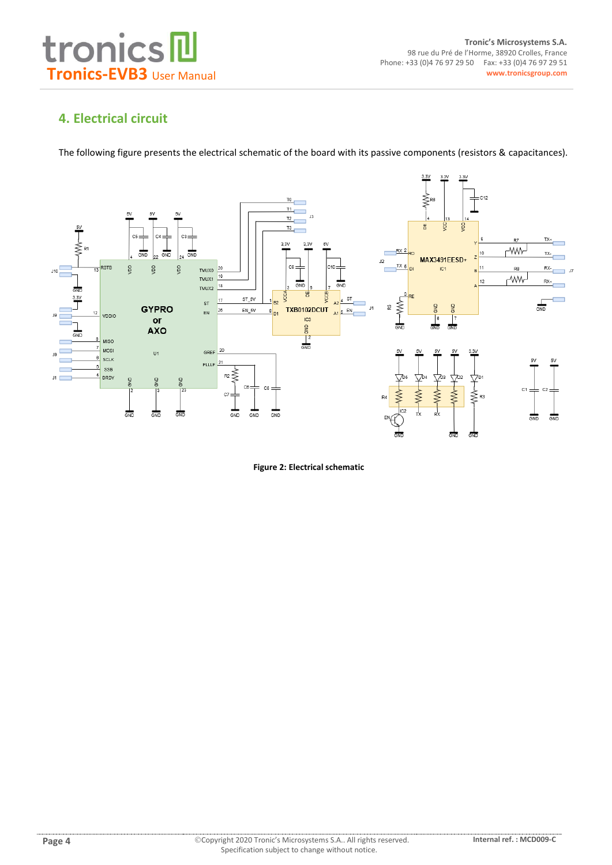

## **4. Electrical circuit**

The following figure presents the electrical schematic of the board with its passive components (resistors & capacitances).



**Figure 2: Electrical schematic**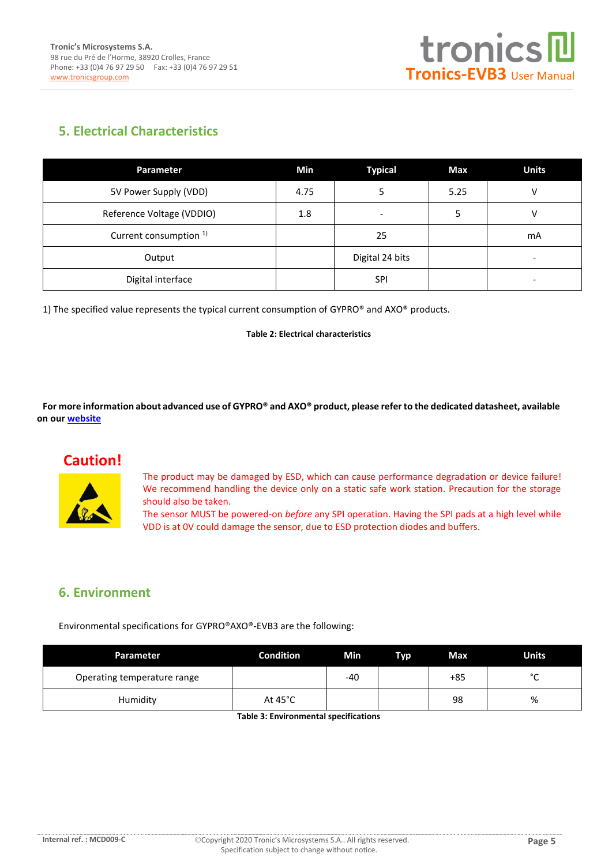

# **5. Electrical Characteristics**

| Parameter                         | Min  | <b>Typical</b>  | Max  | <b>Units</b> |
|-----------------------------------|------|-----------------|------|--------------|
| 5V Power Supply (VDD)             | 4.75 |                 | 5.25 |              |
| Reference Voltage (VDDIO)         | 1.8  | -               |      |              |
| Current consumption <sup>1)</sup> |      | 25              |      | mA           |
| Output                            |      | Digital 24 bits |      |              |
| Digital interface                 |      | <b>SPI</b>      |      |              |

1) The specified value represents the typical current consumption of  $GYPRO^{\circ}$  and  $AXO^{\circ}$  products.

**Table 2: Electrical characteristics**

**For more information about advanced use of GYPRO® and AXO® product, please refer to the dedicated datasheet, available on ou[r website](http://www.tronicsgroup.com/High-Performance-MEMS)**

# **Caution!**



The product may be damaged by ESD, which can cause performance degradation or device failure! We recommend handling the device only on a static safe work station. Precaution for the storage should also be taken.

The sensor MUST be powered-on *before* any SPI operation. Having the SPI pads at a high level while VDD is at 0V could damage the sensor, due to ESD protection diodes and buffers.

### **6. Environment**

Environmental specifications for GYPRO®AXO®-EVB3 are the following:

| Parameter                   | <b>Condition</b>  | Min   | Typ | Max | <b>Units</b> |
|-----------------------------|-------------------|-------|-----|-----|--------------|
| Operating temperature range |                   | $-40$ |     | +85 | $\sim$<br>֊  |
| Humidity                    | At $45^{\circ}$ C |       |     | 98  | %            |

**Table 3: Environmental specifications**